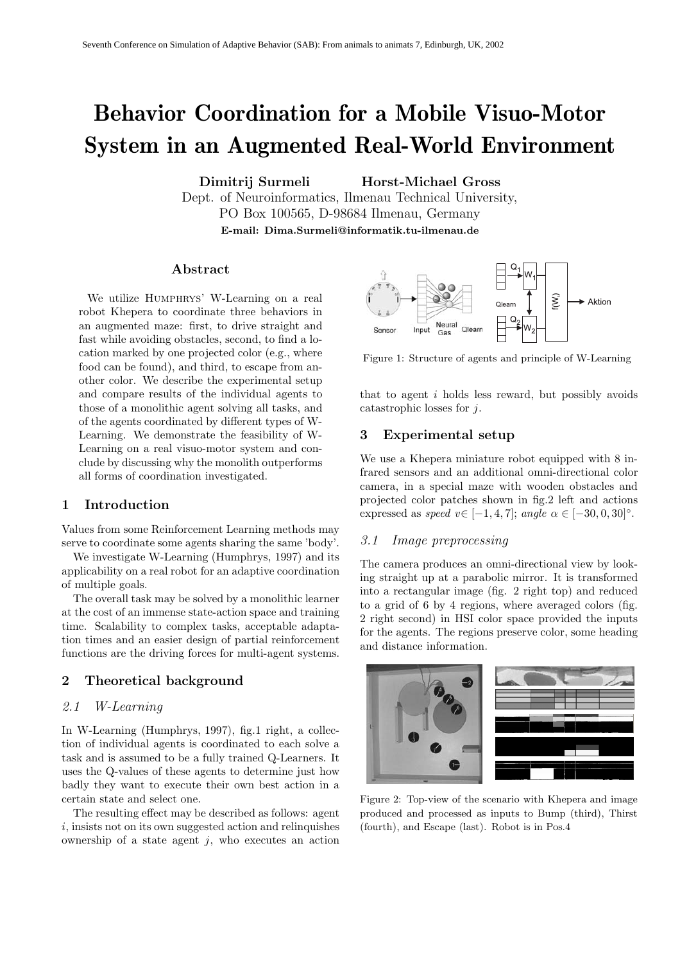# **Behavior Coordination for a Mobile Visuo-Motor System in an Augmented Real-World Environment**

**Dimitrij Surmeli Horst-Michael Gross**

Dept. of Neuroinformatics, Ilmenau Technical University, PO Box 100565, D-98684 Ilmenau, Germany **E-mail: Dima.Surmeli@informatik.tu-ilmenau.de**

## **Abstract**

We utilize HUMPHRYS' W-Learning on a real robot Khepera to coordinate three behaviors in an augmented maze: first, to drive straight and fast while avoiding obstacles, second, to find a location marked by one projected color (e.g., where food can be found), and third, to escape from another color. We describe the experimental setup and compare results of the individual agents to those of a monolithic agent solving all tasks, and of the agents coordinated by different types of W-Learning. We demonstrate the feasibility of W-Learning on a real visuo-motor system and conclude by discussing why the monolith outperforms all forms of coordination investigated.

# **1 Introduction**

Values from some Reinforcement Learning methods may serve to coordinate some agents sharing the same 'body'.

We investigate W-Learning (Humphrys, 1997) and its applicability on a real robot for an adaptive coordination of multiple goals.

The overall task may be solved by a monolithic learner at the cost of an immense state-action space and training time. Scalability to complex tasks, acceptable adaptation times and an easier design of partial reinforcement functions are the driving forces for multi-agent systems.

## **2 Theoretical background**

# *2.1 W-Learning*

In W-Learning (Humphrys, 1997), fig.1 right, a collection of individual agents is coordinated to each solve a task and is assumed to be a fully trained Q-Learners. It uses the Q-values of these agents to determine just how badly they want to execute their own best action in a certain state and select one.

The resulting effect may be described as follows: agent i, insists not on its own suggested action and relinquishes ownership of a state agent  $j$ , who executes an action



Figure 1: Structure of agents and principle of W-Learning

that to agent  $i$  holds less reward, but possibly avoids catastrophic losses for  $i$ .

## **3 Experimental setup**

We use a Khepera miniature robot equipped with 8 infrared sensors and an additional omni-directional color camera, in a special maze with wooden obstacles and projected color patches shown in fig.2 left and actions expressed as *speed*  $v \in [-1, 4, 7]$ ; *angle*  $\alpha \in [-30, 0, 30]$ °.

#### *3.1 Image preprocessing*

The camera produces an omni-directional view by looking straight up at a parabolic mirror. It is transformed into a rectangular image (fig. 2 right top) and reduced to a grid of 6 by 4 regions, where averaged colors (fig. 2 right second) in HSI color space provided the inputs for the agents. The regions preserve color, some heading and distance information.



Figure 2: Top-view of the scenario with Khepera and image produced and processed as inputs to Bump (third), Thirst (fourth), and Escape (last). Robot is in Pos.4